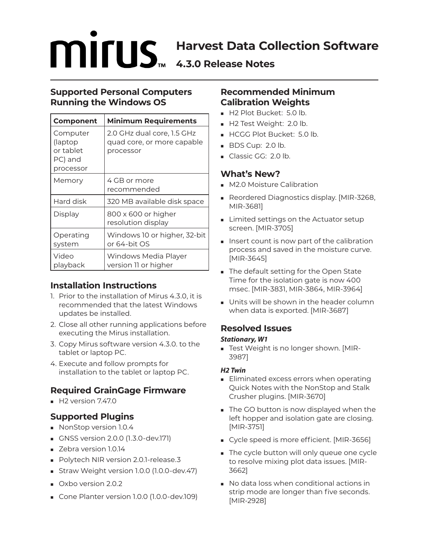# **MITUS Harvest Data Collection Software 4.3.0 Release Notes**

## **Supported Personal Computers Running the Windows OS**

| <b>Component</b>                                         | <b>Minimum Requirements</b>                                           |
|----------------------------------------------------------|-----------------------------------------------------------------------|
| Computer<br>(laptop<br>or tablet<br>PC) and<br>processor | 2.0 GHz dual core, 1.5 GHz<br>quad core, or more capable<br>processor |
| Memory                                                   | 4 GB or more<br>recommended                                           |
| Hard disk                                                | 320 MB available disk space                                           |
| Display                                                  | 800 x 600 or higher<br>resolution display                             |
| Operating<br>system                                      | Windows 10 or higher, 32-bit<br>or 64-bit OS                          |
| Video<br>playback                                        | Windows Media Player<br>version 11 or higher                          |

# **Installation Instructions**

- 1. Prior to the installation of Mirus 4.3.0, it is recommended that the latest Windows updates be installed.
- 2. Close all other running applications before executing the Mirus installation.
- 3. Copy Mirus software version 4.3.0. to the tablet or laptop PC.
- 4. Execute and follow prompts for installation to the tablet or laptop PC.

# **Required GrainGage Firmware**

 $H2$  version 7.47.0

## **Supported Plugins**

- NonStop version 1.0.4
- GNSS version 2.0.0 (1.3.0-dev.171)
- **Zebra version 1.0.14**
- Polytech NIR version 2.0.1-release.3
- Straw Weight version 1.0.0 (1.0.0-dev.47)
- Oxbo version 2.0.2
- Cone Planter version 1.0.0 (1.0.0-dev.109)

## **Recommended Minimum Calibration Weights**

- H2 Plot Bucket: 5.0 lb.
- H2 Test Weight: 2.0 lb.
- HCGG Plot Bucket: 5.0 lb.
- $\blacksquare$  BDS Cup: 2.0 lb.
- Classic GG: 2.0 lb.

## **What's New?**

- **M2.0 Moisture Calibration**
- Reordered Diagnostics display. [MIR-3268, MIR-3681]
- **Limited settings on the Actuator setup** screen. [MIR-3705]
- Insert count is now part of the calibration process and saved in the moisture curve. [MIR-3645]
- The default setting for the Open State Time for the isolation gate is now 400 msec. [MIR-3831, MIR-3864, MIR-3964]
- Units will be shown in the header column when data is exported. [MIR-3687]

# **Resolved Issues**

#### *Stationary, W1*

 Test Weight is no longer shown. [MIR-3987]

#### *H2 Twin*

- **Eliminated excess errors when operating** Quick Notes with the NonStop and Stalk Crusher plugins. [MIR-3670]
- The GO button is now displayed when the left hopper and isolation gate are closing. [MIR-3751]
- Cycle speed is more efficient. [MIR-3656]
- The cycle button will only queue one cycle to resolve mixing plot data issues. [MIR-3662]
- No data loss when conditional actions in strip mode are longer than five seconds. [MIR-2928]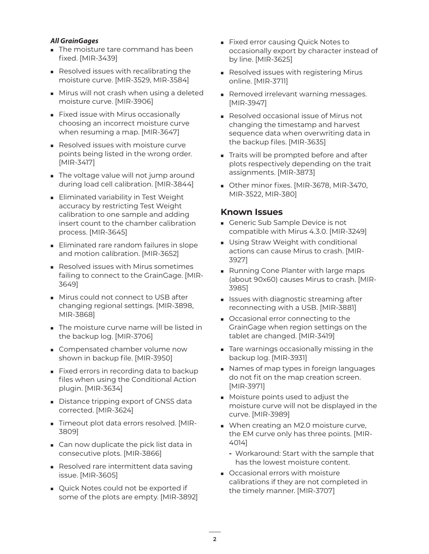#### *All GrainGages*

- The moisture tare command has been fixed. [MIR-3439]
- Resolved issues with recalibrating the moisture curve. [MIR-3529, MIR-3584]
- **Mirus will not crash when using a deleted** moisture curve. [MIR-3906]
- Fixed issue with Mirus occasionally choosing an incorrect moisture curve when resuming a map. [MIR-3647]
- Resolved issues with moisture curve points being listed in the wrong order. [MIR-3417]
- The voltage value will not jump around during load cell calibration. [MIR-3844]
- **Eliminated variability in Test Weight** accuracy by restricting Test Weight calibration to one sample and adding insert count to the chamber calibration process. [MIR-3645]
- Eliminated rare random failures in slope and motion calibration. [MIR-3652]
- Resolved issues with Mirus sometimes failing to connect to the GrainGage. [MIR-3649]
- **Mirus could not connect to USB after** changing regional settings. [MIR-3898, MIR-3868]
- The moisture curve name will be listed in the backup log. [MIR-3706]
- **Compensated chamber volume now** shown in backup file. [MIR-3950]
- Fixed errors in recording data to backup files when using the Conditional Action plugin. [MIR-3634]
- Distance tripping export of GNSS data corrected. [MIR-3624]
- Timeout plot data errors resolved. [MIR-3809]
- **Can now duplicate the pick list data in** consecutive plots. [MIR-3866]
- Resolved rare intermittent data saving issue. [MIR-3605]
- Quick Notes could not be exported if some of the plots are empty. [MIR-3892]
- **Fixed error causing Quick Notes to** occasionally export by character instead of by line. [MIR-3625]
- Resolved issues with registering Mirus online. [MIR-3711]
- Removed irrelevant warning messages. [MIR-3947]
- Resolved occasional issue of Mirus not changing the timestamp and harvest sequence data when overwriting data in the backup files. [MIR-3635]
- Traits will be prompted before and after plots respectively depending on the trait assignments. [MIR-3873]
- Other minor fixes. [MIR-3678, MIR-3470, MIR-3522, MIR-380]

#### **Known Issues**

- Generic Sub Sample Device is not compatible with Mirus 4.3.0. [MIR-3249]
- **Using Straw Weight with conditional** actions can cause Mirus to crash. [MIR-3927]
- **Running Cone Planter with large maps** (about 90x60) causes Mirus to crash. [MIR-3985]
- Issues with diagnostic streaming after reconnecting with a USB. [MIR-3881]
- Occasional error connecting to the GrainGage when region settings on the tablet are changed. [MIR-3419]
- Tare warnings occasionally missing in the backup log. [MIR-3931]
- **Names of map types in foreign languages** do not fit on the map creation screen. [MIR-3971]
- **Moisture points used to adjust the** moisture curve will not be displayed in the curve. [MIR-3989]
- When creating an M2.0 moisture curve, the EM curve only has three points. [MIR-4014]
	- **-** Workaround: Start with the sample that has the lowest moisture content.
- Occasional errors with moisture calibrations if they are not completed in the timely manner. [MIR-3707]